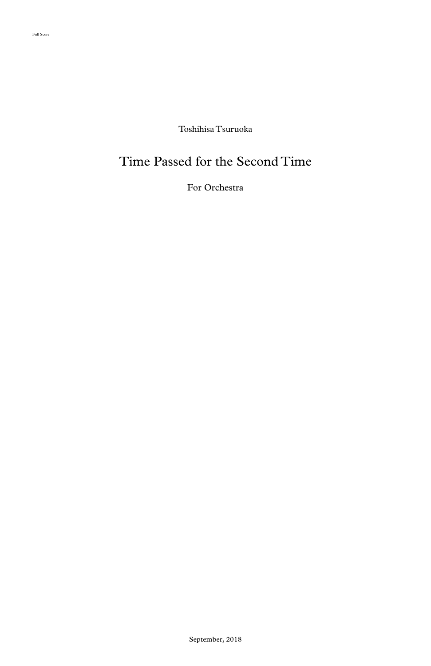## Time Passed for the Second Time

Full Score

September, 2018

Toshihisa Tsuruoka

For Orchestra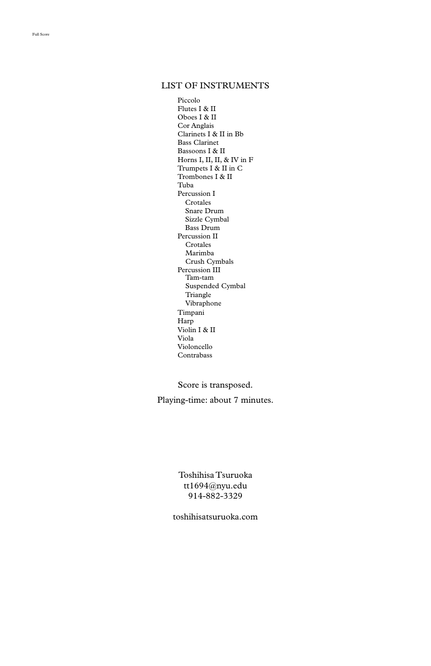Score is transposed.

Playing-time: about 7 minutes.

Crotales Marimba Crush Cymbals Piccolo Flutes I & II Oboes I & II Cor Anglais Clarinets I & II in Bb Bass Clarinet Bassoons I & II Horns I, II, II, & IV in F Trumpets I & II in C Trombones I & II Tuba Percussion I Percussion II Percussion III Timpani Harp Violin I & II Viola Violoncello Contrabass Crotales Snare Drum Sizzle Cymbal Bass Drum Tam-tam Suspended Cymbal Triangle Vibraphone

Toshihisa Tsuruoka tt1694@nyu.edu



toshihisatsuruoka.com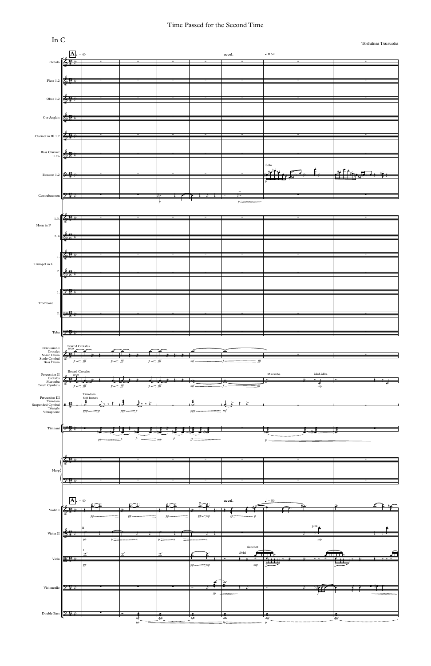

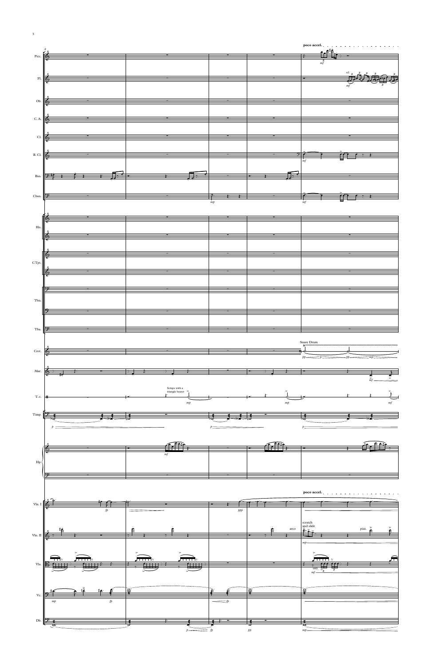**poco accel.**



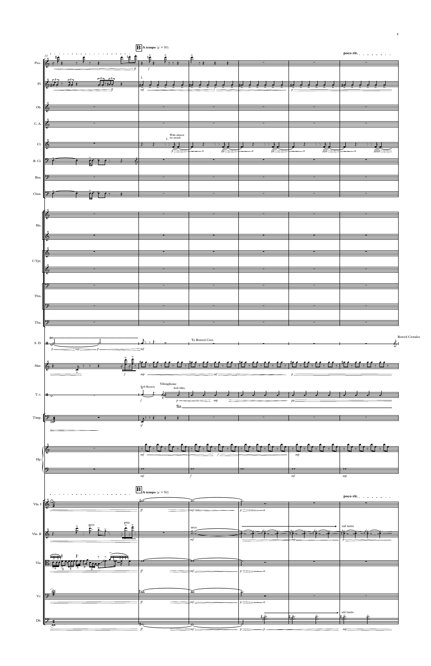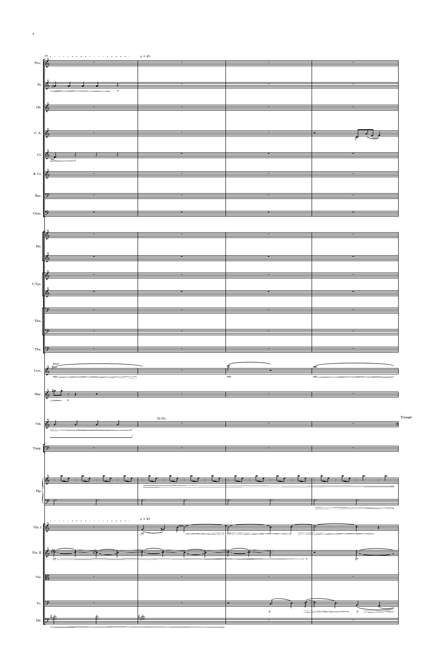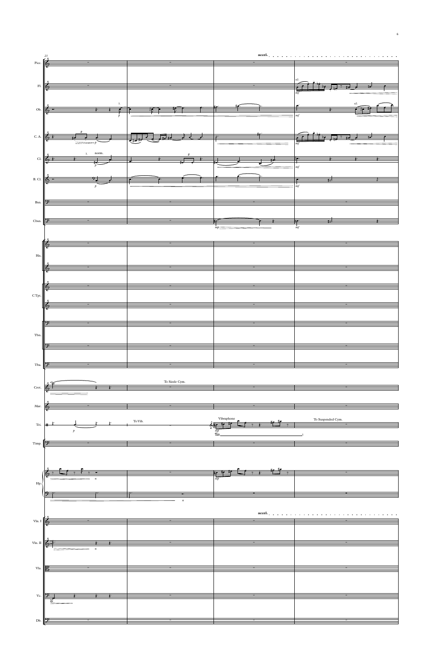

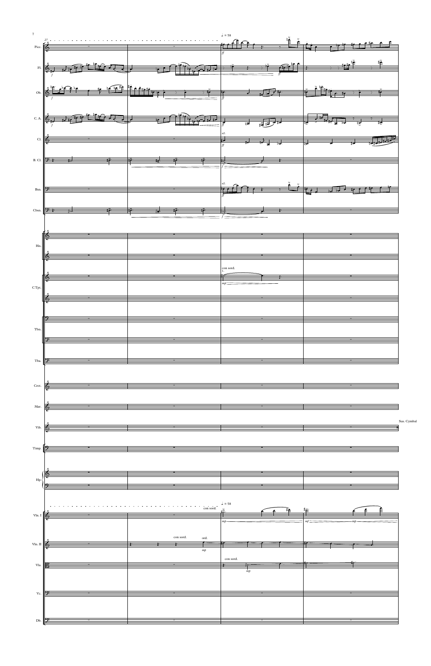

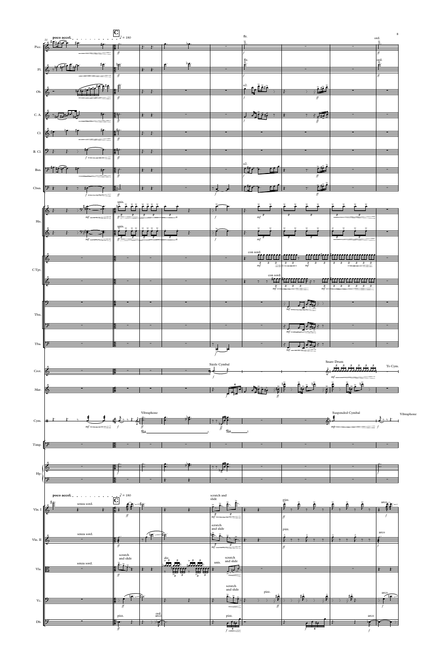

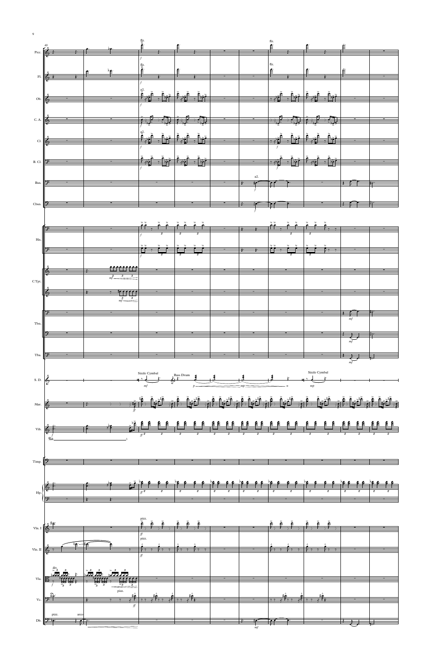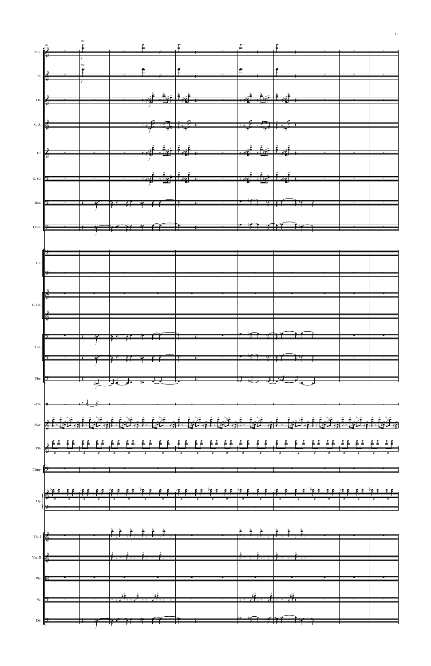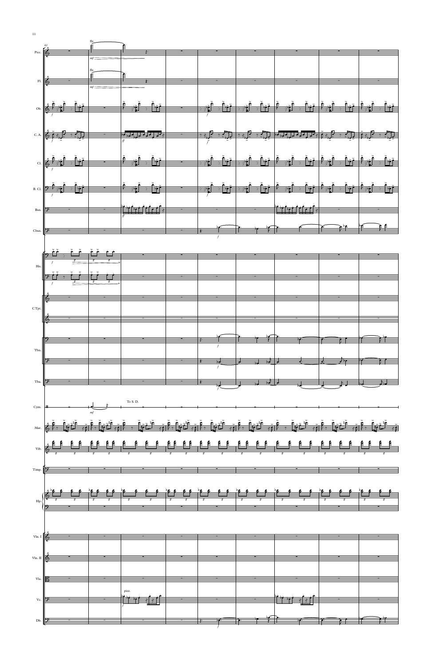

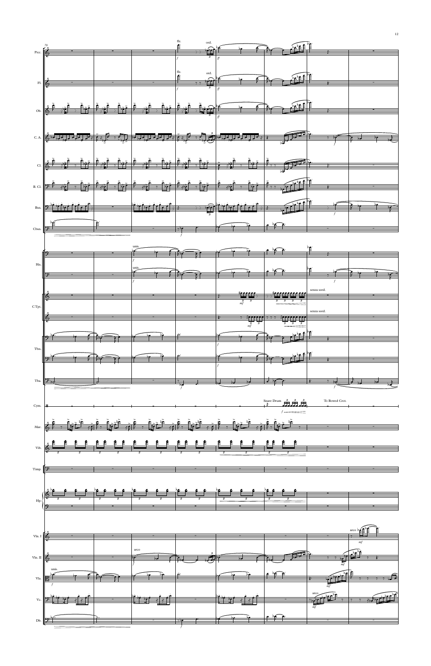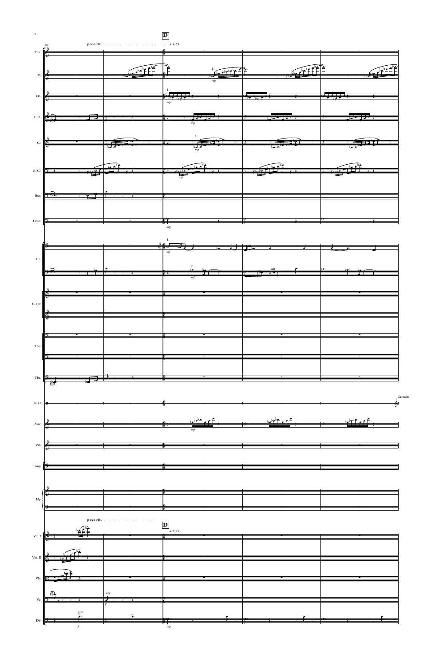

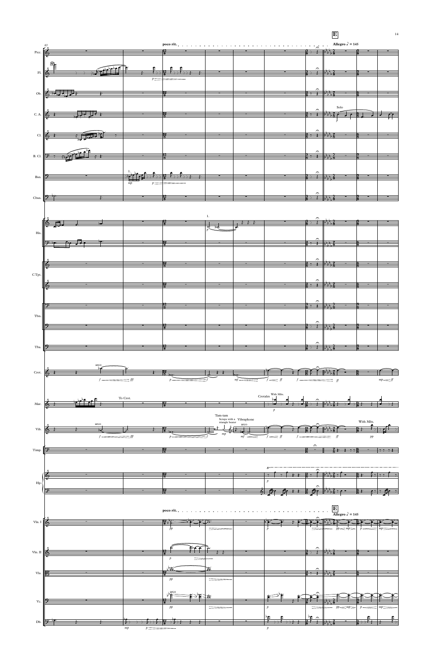



14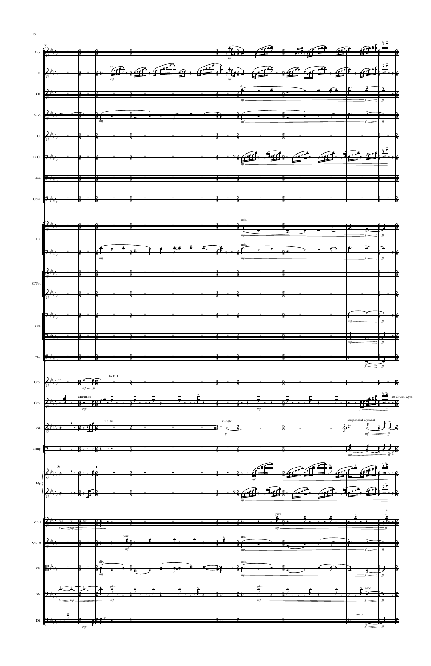

15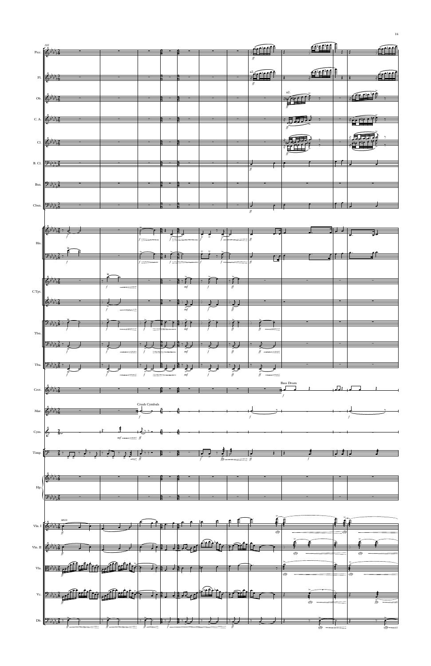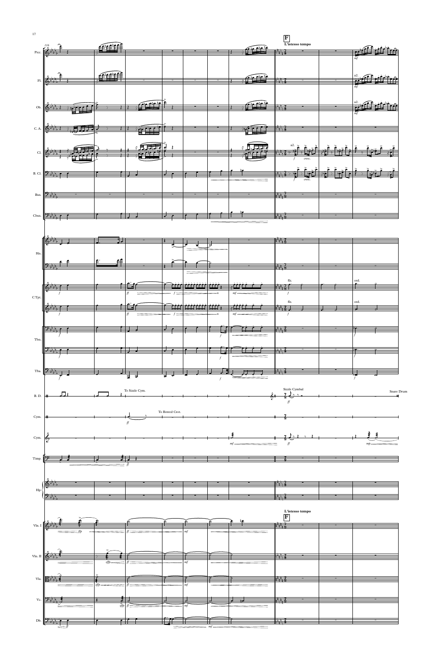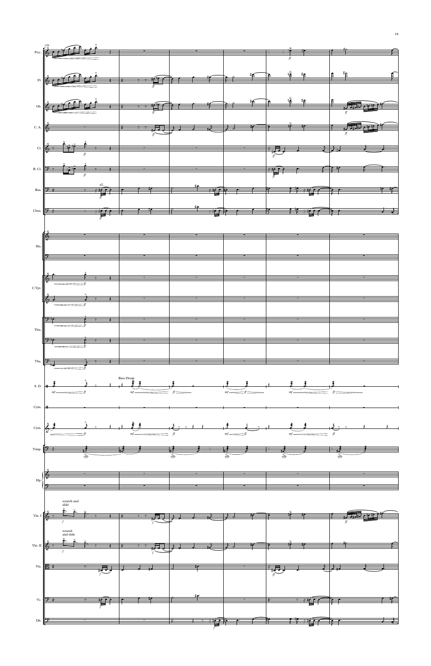